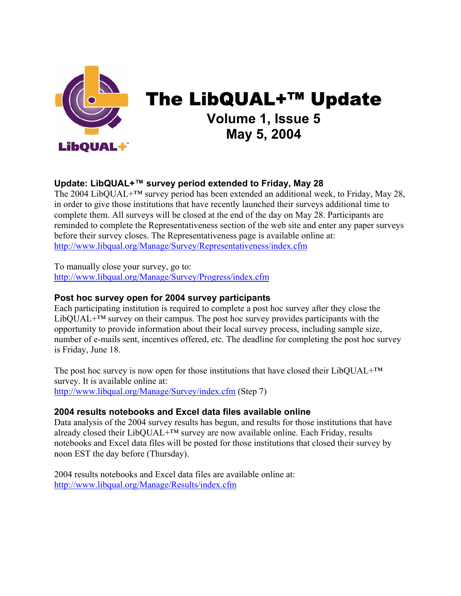

# The LibQUAL+™ Update **Volume 1, Issue 5 May 5, 2004**

# **Update: LibQUAL+™ survey period extended to Friday, May 28**

The 2004 LibQUAL+™ survey period has been extended an additional week, to Friday, May 28, in order to give those institutions that have recently launched their surveys additional time to complete them. All surveys will be closed at the end of the day on May 28. Participants are reminded to complete the Representativeness section of the web site and enter any paper surveys before their survey closes. The Representativeness page is available online at: [http://www.libqual.org/Manage/Survey/Representativeness/index.cfm](http://old.libqual.org/Manage/Survey/Representativeness/index.cfm)

To manually close your survey, go to: [http://www.libqual.org/Manage/Survey/Progress/index.cfm](http://old.libqual.org/Manage/Survey/Progress/index.cfm) 

### **Post hoc survey open for 2004 survey participants**

Each participating institution is required to complete a post hoc survey after they close the  $LibQUAL+<sup>TM</sup>$  survey on their campus. The post hoc survey provides participants with the opportunity to provide information about their local survey process, including sample size, number of e-mails sent, incentives offered, etc. The deadline for completing the post hoc survey is Friday, June 18.

The post hoc survey is now open for those institutions that have closed their LibQUAL+ $^{TM}$ survey. It is available online at: [http://www.libqual.org/Manage/Survey/index.cfm](http://old.libqual.org/Manage/Survey/index.cfm) (Step 7)

#### **2004 results notebooks and Excel data files available online**

Data analysis of the 2004 survey results has begun, and results for those institutions that have already closed their LibQUAL+™ survey are now available online. Each Friday, results notebooks and Excel data files will be posted for those institutions that closed their survey by noon EST the day before (Thursday).

2004 results notebooks and Excel data files are available online at: [http://www.libqual.org/Manage/Results/index.cfm](http://old.libqual.org/Manage/Results/index.cfm)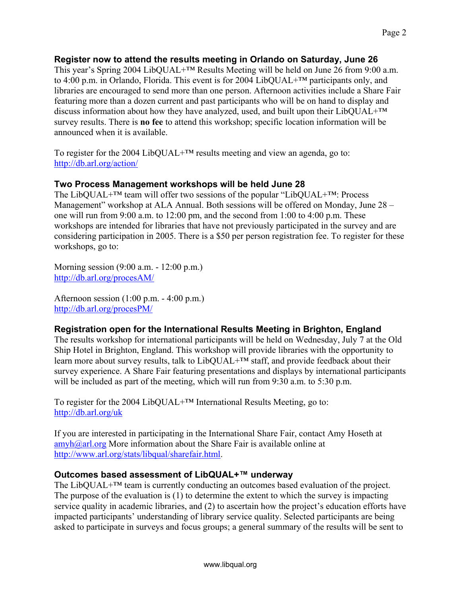## **Register now to attend the results meeting in Orlando on Saturday, June 26**

This year's Spring 2004 LibQUAL+™ Results Meeting will be held on June 26 from 9:00 a.m. to 4:00 p.m. in Orlando, Florida. This event is for 2004 LibQUAL+™ participants only, and libraries are encouraged to send more than one person. Afternoon activities include a Share Fair featuring more than a dozen current and past participants who will be on hand to display and discuss information about how they have analyzed, used, and built upon their LibQUAL+™ survey results. There is **no fee** to attend this workshop; specific location information will be announced when it is available.

To register for the 2004 LibQUAL+<sup>™</sup> results meeting and view an agenda, go to: <http://db.arl.org/action/>

## **Two Process Management workshops will be held June 28**

The LibQUAL+™ team will offer two sessions of the popular "LibQUAL+™: Process Management" workshop at ALA Annual. Both sessions will be offered on Monday, June 28 – one will run from 9:00 a.m. to 12:00 pm, and the second from 1:00 to 4:00 p.m. These workshops are intended for libraries that have not previously participated in the survey and are considering participation in 2005. There is a \$50 per person registration fee. To register for these workshops, go to:

Morning session (9:00 a.m. - 12:00 p.m.) <http://db.arl.org/procesAM/>

Afternoon session (1:00 p.m. - 4:00 p.m.) <http://db.arl.org/procesPM/>

# **Registration open for the International Results Meeting in Brighton, England**

The results workshop for international participants will be held on Wednesday, July 7 at the Old Ship Hotel in Brighton, England. This workshop will provide libraries with the opportunity to learn more about survey results, talk to LibQUAL+™ staff, and provide feedback about their survey experience. A Share Fair featuring presentations and displays by international participants will be included as part of the meeting, which will run from 9:30 a.m. to 5:30 p.m.

To register for the 2004 LibQUAL+™ International Results Meeting, go to: <http://db.arl.org/uk>

If you are interested in participating in the International Share Fair, contact Amy Hoseth at  $amvh@arl.org$  More information about the Share Fair is available online at [http://www.arl.org/stats/libqual/sharefair.html.](http://www.arl.org/stats/libqual/sharefair.html)

#### **Outcomes based assessment of LibQUAL+™ underway**

The LibQUAL<sup>+™</sup> team is currently conducting an outcomes based evaluation of the project. The purpose of the evaluation is (1) to determine the extent to which the survey is impacting service quality in academic libraries, and (2) to ascertain how the project's education efforts have impacted participants' understanding of library service quality. Selected participants are being asked to participate in surveys and focus groups; a general summary of the results will be sent to